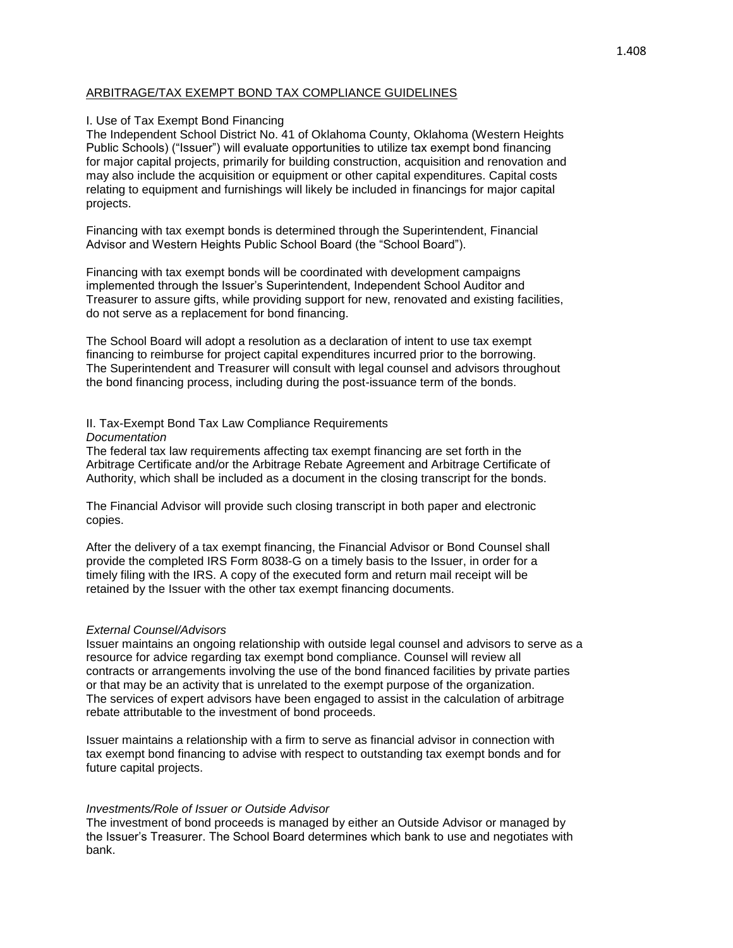# ARBITRAGE/TAX EXEMPT BOND TAX COMPLIANCE GUIDELINES

## I. Use of Tax Exempt Bond Financing

The Independent School District No. 41 of Oklahoma County, Oklahoma (Western Heights Public Schools) ("Issuer") will evaluate opportunities to utilize tax exempt bond financing for major capital projects, primarily for building construction, acquisition and renovation and may also include the acquisition or equipment or other capital expenditures. Capital costs relating to equipment and furnishings will likely be included in financings for major capital projects.

Financing with tax exempt bonds is determined through the Superintendent, Financial Advisor and Western Heights Public School Board (the "School Board").

Financing with tax exempt bonds will be coordinated with development campaigns implemented through the Issuer's Superintendent, Independent School Auditor and Treasurer to assure gifts, while providing support for new, renovated and existing facilities, do not serve as a replacement for bond financing.

The School Board will adopt a resolution as a declaration of intent to use tax exempt financing to reimburse for project capital expenditures incurred prior to the borrowing. The Superintendent and Treasurer will consult with legal counsel and advisors throughout the bond financing process, including during the post-issuance term of the bonds.

## II. Tax-Exempt Bond Tax Law Compliance Requirements

#### *Documentation*

The federal tax law requirements affecting tax exempt financing are set forth in the Arbitrage Certificate and/or the Arbitrage Rebate Agreement and Arbitrage Certificate of Authority, which shall be included as a document in the closing transcript for the bonds.

The Financial Advisor will provide such closing transcript in both paper and electronic copies.

After the delivery of a tax exempt financing, the Financial Advisor or Bond Counsel shall provide the completed IRS Form 8038-G on a timely basis to the Issuer, in order for a timely filing with the IRS. A copy of the executed form and return mail receipt will be retained by the Issuer with the other tax exempt financing documents.

## *External Counsel/Advisors*

Issuer maintains an ongoing relationship with outside legal counsel and advisors to serve as a resource for advice regarding tax exempt bond compliance. Counsel will review all contracts or arrangements involving the use of the bond financed facilities by private parties or that may be an activity that is unrelated to the exempt purpose of the organization. The services of expert advisors have been engaged to assist in the calculation of arbitrage rebate attributable to the investment of bond proceeds.

Issuer maintains a relationship with a firm to serve as financial advisor in connection with tax exempt bond financing to advise with respect to outstanding tax exempt bonds and for future capital projects.

## *Investments/Role of Issuer or Outside Advisor*

The investment of bond proceeds is managed by either an Outside Advisor or managed by the Issuer's Treasurer. The School Board determines which bank to use and negotiates with bank.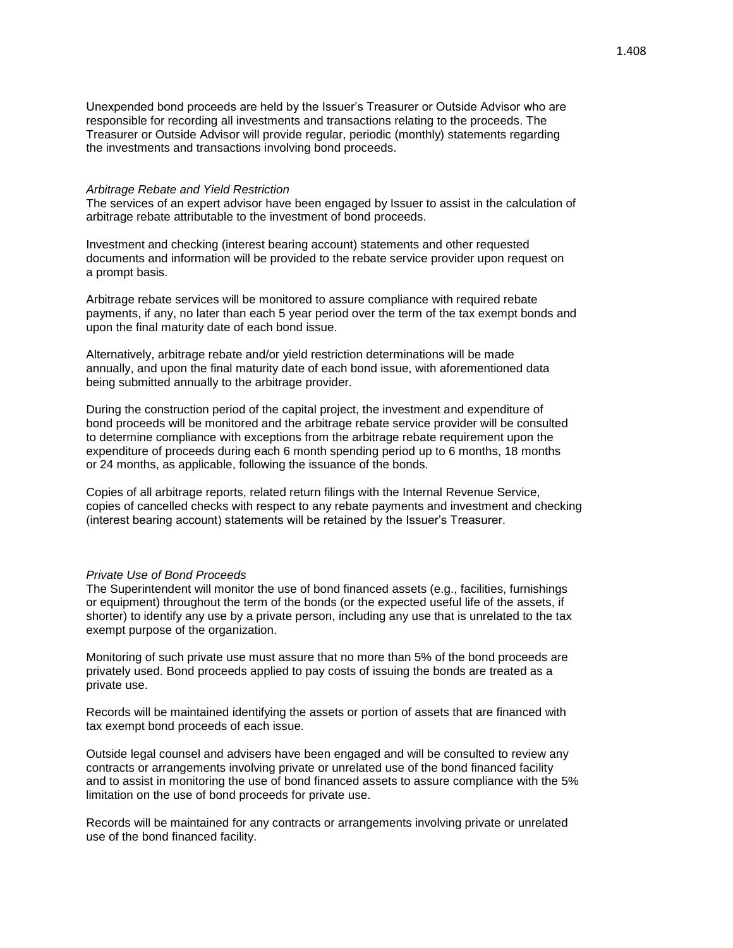Unexpended bond proceeds are held by the Issuer's Treasurer or Outside Advisor who are responsible for recording all investments and transactions relating to the proceeds. The Treasurer or Outside Advisor will provide regular, periodic (monthly) statements regarding the investments and transactions involving bond proceeds.

#### *Arbitrage Rebate and Yield Restriction*

The services of an expert advisor have been engaged by Issuer to assist in the calculation of arbitrage rebate attributable to the investment of bond proceeds.

Investment and checking (interest bearing account) statements and other requested documents and information will be provided to the rebate service provider upon request on a prompt basis.

Arbitrage rebate services will be monitored to assure compliance with required rebate payments, if any, no later than each 5 year period over the term of the tax exempt bonds and upon the final maturity date of each bond issue.

Alternatively, arbitrage rebate and/or yield restriction determinations will be made annually, and upon the final maturity date of each bond issue, with aforementioned data being submitted annually to the arbitrage provider.

During the construction period of the capital project, the investment and expenditure of bond proceeds will be monitored and the arbitrage rebate service provider will be consulted to determine compliance with exceptions from the arbitrage rebate requirement upon the expenditure of proceeds during each 6 month spending period up to 6 months, 18 months or 24 months, as applicable, following the issuance of the bonds.

Copies of all arbitrage reports, related return filings with the Internal Revenue Service, copies of cancelled checks with respect to any rebate payments and investment and checking (interest bearing account) statements will be retained by the Issuer's Treasurer.

### *Private Use of Bond Proceeds*

The Superintendent will monitor the use of bond financed assets (e.g., facilities, furnishings or equipment) throughout the term of the bonds (or the expected useful life of the assets, if shorter) to identify any use by a private person, including any use that is unrelated to the tax exempt purpose of the organization.

Monitoring of such private use must assure that no more than 5% of the bond proceeds are privately used. Bond proceeds applied to pay costs of issuing the bonds are treated as a private use.

Records will be maintained identifying the assets or portion of assets that are financed with tax exempt bond proceeds of each issue.

Outside legal counsel and advisers have been engaged and will be consulted to review any contracts or arrangements involving private or unrelated use of the bond financed facility and to assist in monitoring the use of bond financed assets to assure compliance with the 5% limitation on the use of bond proceeds for private use.

Records will be maintained for any contracts or arrangements involving private or unrelated use of the bond financed facility.